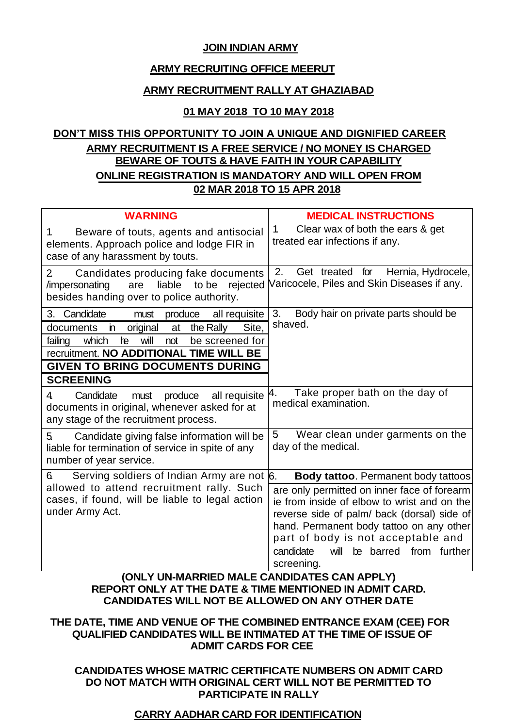### **JOIN INDIAN ARMY**

### **ARMY RECRUITING OFFICE MEERUT**

### **ARMY RECRUITMENT RALLY AT GHAZIABAD**

## **01 MAY 2018 TO 10 MAY 2018**

# **DON'T MISS THIS OPPORTUNITY TO JOIN A UNIQUE AND DIGNIFIED CAREER ARMY RECRUITMENT IS A FREE SERVICE / NO MONEY IS CHARGED BEWARE OF TOUTS & HAVE FAITH IN YOUR CAPABILITY ONLINE REGISTRATION IS MANDATORY AND WILL OPEN FROM 02 MAR 2018 TO 15 APR 2018**

| <b>WARNING</b>                                                                                                                                                                                                                                                                      | <b>MEDICAL INSTRUCTIONS</b>                                                                                                                                                                                                                                                                                                                                             |  |  |
|-------------------------------------------------------------------------------------------------------------------------------------------------------------------------------------------------------------------------------------------------------------------------------------|-------------------------------------------------------------------------------------------------------------------------------------------------------------------------------------------------------------------------------------------------------------------------------------------------------------------------------------------------------------------------|--|--|
| 1.<br>Beware of touts, agents and antisocial<br>elements. Approach police and lodge FIR in<br>case of any harassment by touts.                                                                                                                                                      | Clear wax of both the ears & get<br>$\mathbf{1}$<br>treated ear infections if any.                                                                                                                                                                                                                                                                                      |  |  |
| Candidates producing fake documents<br>2<br>liable<br>to be<br>/impersonating<br>are<br>rejected<br>besides handing over to police authority.                                                                                                                                       | 2.<br>Get treated for<br>Hernia, Hydrocele,<br>Varicocele, Piles and Skin Diseases if any.                                                                                                                                                                                                                                                                              |  |  |
| Candidate<br>3.<br>produce<br>all requisite<br>must<br>the Rally<br>Site,<br>documents<br>original<br>'n<br>at<br>he<br>will<br>failing<br>which<br>not<br>be screened for<br>recruitment. NO ADDITIONAL TIME WILL BE<br><b>GIVEN TO BRING DOCUMENTS DURING</b><br><b>SCREENING</b> | 3.<br>Body hair on private parts should be<br>shaved.                                                                                                                                                                                                                                                                                                                   |  |  |
| produce<br>all requisite<br>Candidate<br>4.<br>must<br>documents in original, whenever asked for at<br>any stage of the recruitment process.                                                                                                                                        | Take proper bath on the day of<br>4.<br>medical examination.                                                                                                                                                                                                                                                                                                            |  |  |
| Candidate giving false information will be<br>5<br>liable for termination of service in spite of any<br>number of year service.                                                                                                                                                     | Wear clean under garments on the<br>5<br>day of the medical.                                                                                                                                                                                                                                                                                                            |  |  |
| Serving soldiers of Indian Army are not 6.<br>6.<br>allowed to attend recruitment rally. Such<br>cases, if found, will be liable to legal action<br>under Army Act.<br><b>IONII VIINI MA</b>                                                                                        | <b>Body tattoo.</b> Permanent body tattoos<br>are only permitted on inner face of forearm<br>ie from inside of elbow to wrist and on the<br>reverse side of palm/ back (dorsal) side of<br>hand. Permanent body tattoo on any other<br>part of body is not acceptable and<br>be barred from further<br>candidate<br>will<br>screening.<br><b>CANDIDATEC CAN ADDI VI</b> |  |  |

## **(ONLY UN-MARRIED MALE CANDIDATES CAN APPLY) REPORT ONLY AT THE DATE & TIME MENTIONED IN ADMIT CARD. CANDIDATES WILL NOT BE ALLOWED ON ANY OTHER DATE**

### **THE DATE, TIME AND VENUE OF THE COMBINED ENTRANCE EXAM (CEE) FOR QUALIFIED CANDIDATES WILL BE INTIMATED AT THE TIME OF ISSUE OF ADMIT CARDS FOR CEE**

### **CANDIDATES WHOSE MATRIC CERTIFICATE NUMBERS ON ADMIT CARD DO NOT MATCH WITH ORIGINAL CERT WILL NOT BE PERMITTED TO PARTICIPATE IN RALLY**

# **CARRY AADHAR CARD FOR IDENTIFICATION**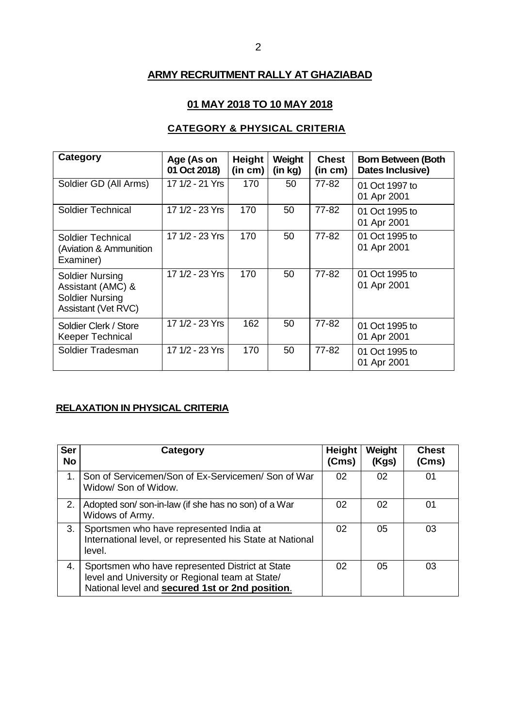# **ARMY RECRUITMENT RALLY AT GHAZIABAD**

## **01 MAY 2018 TO 10 MAY 2018**

# **CATEGORY & PHYSICAL CRITERIA**

| Category                                                                                     | Age (As on<br>01 Oct 2018) | Height<br>(in cm) | Weight<br>(in kg) | <b>Chest</b><br>(in cm) | <b>Born Between (Both</b><br>Dates Inclusive) |
|----------------------------------------------------------------------------------------------|----------------------------|-------------------|-------------------|-------------------------|-----------------------------------------------|
| Soldier GD (All Arms)                                                                        | 17 1/2 - 21 Yrs            | 170               | 50                | 77-82                   | 01 Oct 1997 to<br>01 Apr 2001                 |
| <b>Soldier Technical</b>                                                                     | 17 1/2 - 23 Yrs            | 170               | 50                | 77-82                   | 01 Oct 1995 to<br>01 Apr 2001                 |
| Soldier Technical<br>(Aviation & Ammunition<br>Examiner)                                     | 17 1/2 - 23 Yrs            | 170               | 50                | 77-82                   | 01 Oct 1995 to<br>01 Apr 2001                 |
| <b>Soldier Nursing</b><br>Assistant (AMC) &<br><b>Soldier Nursing</b><br>Assistant (Vet RVC) | 17 1/2 - 23 Yrs            | 170               | 50                | 77-82                   | 01 Oct 1995 to<br>01 Apr 2001                 |
| Soldier Clerk / Store<br><b>Keeper Technical</b>                                             | 17 1/2 - 23 Yrs            | 162               | 50                | $77 - 82$               | 01 Oct 1995 to<br>01 Apr 2001                 |
| Soldier Tradesman                                                                            | 17 1/2 - 23 Yrs            | 170               | 50                | 77-82                   | 01 Oct 1995 to<br>01 Apr 2001                 |

## **RELAXATION IN PHYSICAL CRITERIA**

| <b>Ser</b><br><b>No</b> | Category                                                                                                                                               | Height<br>(Cms) | Weight<br>(Kgs) | <b>Chest</b><br>(Cms) |
|-------------------------|--------------------------------------------------------------------------------------------------------------------------------------------------------|-----------------|-----------------|-----------------------|
| $\overline{1}$ .        | Son of Servicemen/Son of Ex-Servicemen/Son of War<br>Widow/ Son of Widow.                                                                              | 02              | 02              | 01                    |
| 2.                      | Adopted son/son-in-law (if she has no son) of a War<br>Widows of Army.                                                                                 | 02              | 02              | 01                    |
| 3.                      | Sportsmen who have represented India at<br>International level, or represented his State at National<br>level.                                         | 02              | 05              | 03                    |
| 4.                      | Sportsmen who have represented District at State<br>level and University or Regional team at State/<br>National level and secured 1st or 2nd position. | 02              | 05              | 03                    |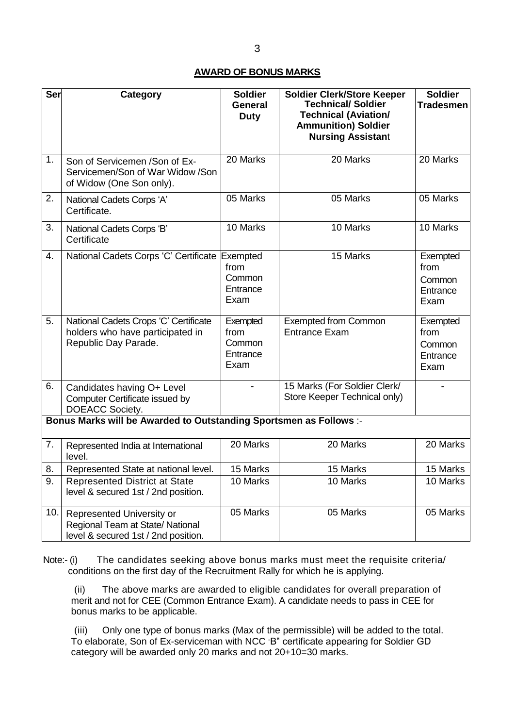## **AWARD OF BONUS MARKS**

| <b>Ser</b> | <b>Category</b>                                                                                     | <b>Soldier</b><br>General<br><b>Duty</b>       | <b>Soldier Clerk/Store Keeper</b><br><b>Technical/ Soldier</b><br><b>Technical (Aviation/</b><br><b>Ammunition) Soldier</b><br><b>Nursing Assistant</b> | <b>Soldier</b><br><b>Tradesmen</b>             |
|------------|-----------------------------------------------------------------------------------------------------|------------------------------------------------|---------------------------------------------------------------------------------------------------------------------------------------------------------|------------------------------------------------|
| 1.         | Son of Servicemen / Son of Ex-<br>Servicemen/Son of War Widow /Son<br>of Widow (One Son only).      | 20 Marks                                       | 20 Marks                                                                                                                                                | 20 Marks                                       |
| 2.         | National Cadets Corps 'A'<br>Certificate.                                                           | 05 Marks                                       | 05 Marks                                                                                                                                                | 05 Marks                                       |
| 3.         | National Cadets Corps 'B'<br>Certificate                                                            | 10 Marks                                       | 10 Marks                                                                                                                                                | 10 Marks                                       |
| 4.         | National Cadets Corps 'C' Certificate Exempted                                                      | from<br>Common<br>Entrance<br>Exam             | 15 Marks                                                                                                                                                | Exempted<br>from<br>Common<br>Entrance<br>Exam |
| 5.         | National Cadets Crops 'C' Certificate<br>holders who have participated in<br>Republic Day Parade.   | Exempted<br>from<br>Common<br>Entrance<br>Exam | <b>Exempted from Common</b><br><b>Entrance Exam</b>                                                                                                     | Exempted<br>from<br>Common<br>Entrance<br>Exam |
| 6.         | Candidates having O+ Level<br>Computer Certificate issued by<br>DOEACC Society.                     |                                                | 15 Marks (For Soldier Clerk/<br>Store Keeper Technical only)                                                                                            |                                                |
|            | Bonus Marks will be Awarded to Outstanding Sportsmen as Follows :-                                  |                                                |                                                                                                                                                         |                                                |
| 7.         | Represented India at International<br>level.                                                        | 20 Marks                                       | 20 Marks                                                                                                                                                | 20 Marks                                       |
| 8.         | Represented State at national level.                                                                | 15 Marks                                       | 15 Marks                                                                                                                                                | 15 Marks                                       |
| 9.         | <b>Represented District at State</b><br>level & secured 1st / 2nd position.                         | 10 Marks                                       | 10 Marks                                                                                                                                                | 10 Marks                                       |
| 10.        | Represented University or<br>Regional Team at State/National<br>level & secured 1st / 2nd position. | 05 Marks                                       | 05 Marks                                                                                                                                                | 05 Marks                                       |

Note:- (i) The candidates seeking above bonus marks must meet the requisite criteria/ conditions on the first day of the Recruitment Rally for which he is applying.

(ii) The above marks are awarded to eligible candidates for overall preparation of merit and not for CEE (Common Entrance Exam). A candidate needs to pass in CEE for bonus marks to be applicable.

(iii) Only one type of bonus marks (Max of the permissible) will be added to the total. To elaborate, Son of Ex-serviceman with NCC "B" certificate appearing for Soldier GD category will be awarded only 20 marks and not 20+10=30 marks.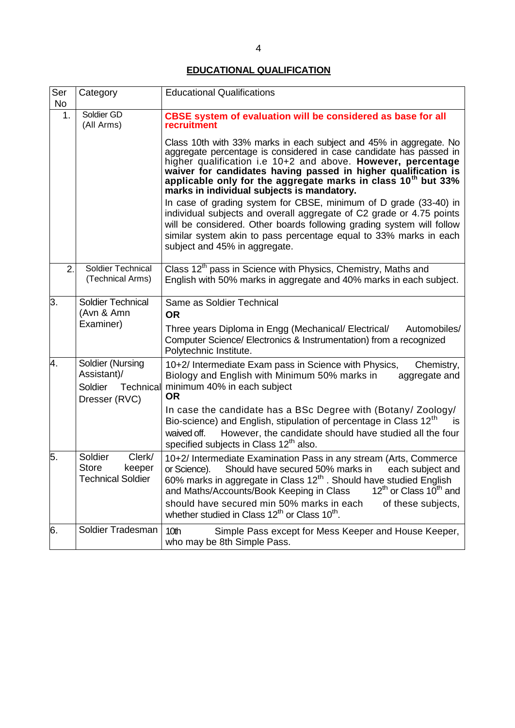# **EDUCATIONAL QUALIFICATION**

| Ser<br><b>No</b>                                                                            | Category                                                                | <b>Educational Qualifications</b>                                                                                                                                                                                                                                                                                                                                                                                                                                     |  |
|---------------------------------------------------------------------------------------------|-------------------------------------------------------------------------|-----------------------------------------------------------------------------------------------------------------------------------------------------------------------------------------------------------------------------------------------------------------------------------------------------------------------------------------------------------------------------------------------------------------------------------------------------------------------|--|
| 1.                                                                                          | Soldier GD<br>(All Arms)                                                | CBSE system of evaluation will be considered as base for all<br>recruitment                                                                                                                                                                                                                                                                                                                                                                                           |  |
|                                                                                             |                                                                         | Class 10th with 33% marks in each subject and 45% in aggregate. No<br>aggregate percentage is considered in case candidate has passed in<br>higher qualification i.e 10+2 and above. However, percentage<br>waiver for candidates having passed in higher qualification is<br>applicable only for the aggregate marks in class 10 <sup>th</sup> but 33%<br>marks in individual subjects is mandatory.                                                                 |  |
|                                                                                             |                                                                         | In case of grading system for CBSE, minimum of D grade (33-40) in<br>individual subjects and overall aggregate of C2 grade or 4.75 points<br>will be considered. Other boards following grading system will follow<br>similar system akin to pass percentage equal to 33% marks in each<br>subject and 45% in aggregate.                                                                                                                                              |  |
| 2.                                                                                          | Soldier Technical<br>(Technical Arms)                                   | Class 12 <sup>th</sup> pass in Science with Physics, Chemistry, Maths and<br>English with 50% marks in aggregate and 40% marks in each subject.                                                                                                                                                                                                                                                                                                                       |  |
| З.                                                                                          | <b>Soldier Technical</b><br>(Avn & Amn<br>Examiner)                     | Same as Soldier Technical<br><b>OR</b><br>Three years Diploma in Engg (Mechanical/ Electrical/<br>Automobiles/<br>Computer Science/ Electronics & Instrumentation) from a recognized<br>Polytechnic Institute.                                                                                                                                                                                                                                                        |  |
| 4.<br>Soldier (Nursing<br>Assistant)/<br>Soldier<br>Technical<br><b>OR</b><br>Dresser (RVC) |                                                                         | 10+2/ Intermediate Exam pass in Science with Physics,<br>Chemistry,<br>Biology and English with Minimum 50% marks in<br>aggregate and<br>minimum 40% in each subject                                                                                                                                                                                                                                                                                                  |  |
|                                                                                             |                                                                         | In case the candidate has a BSc Degree with (Botany/ Zoology/<br>Bio-science) and English, stipulation of percentage in Class 12 <sup>th</sup><br>is<br>However, the candidate should have studied all the four<br>waived off.<br>specified subjects in Class 12 <sup>th</sup> also.                                                                                                                                                                                  |  |
| 5.                                                                                          | Clerk/<br>Soldier<br><b>Store</b><br>keeper<br><b>Technical Soldier</b> | 10+2/ Intermediate Examination Pass in any stream (Arts, Commerce<br>Should have secured 50% marks in<br>or Science).<br>each subject and<br>60% marks in aggregate in Class 12 <sup>th</sup> . Should have studied English<br>12 <sup>th</sup> or Class 10 <sup>th</sup> and<br>and Maths/Accounts/Book Keeping in Class<br>should have secured min 50% marks in each<br>of these subjects,<br>whether studied in Class 12 <sup>th</sup> or Class 10 <sup>th</sup> . |  |
| 6.                                                                                          | Soldier Tradesman                                                       | 10th<br>Simple Pass except for Mess Keeper and House Keeper,<br>who may be 8th Simple Pass.                                                                                                                                                                                                                                                                                                                                                                           |  |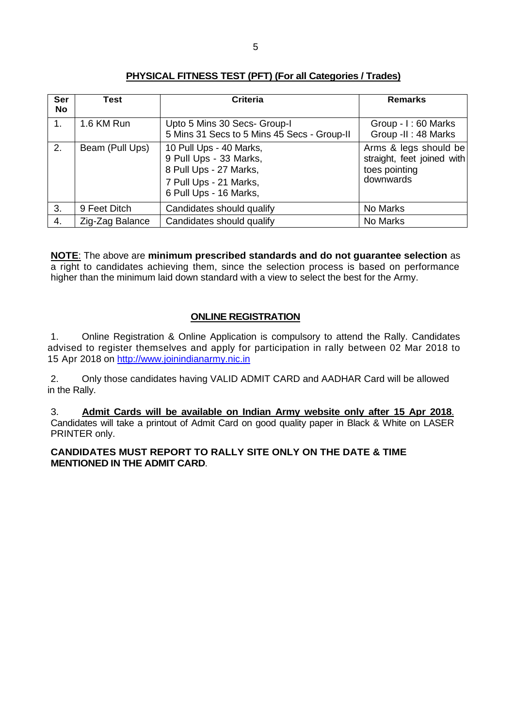| Ser<br>No | Test            | <b>Criteria</b>                                                                                                                 | <b>Remarks</b>                                                                    |
|-----------|-----------------|---------------------------------------------------------------------------------------------------------------------------------|-----------------------------------------------------------------------------------|
| 1.        | 1.6 KM Run      | Upto 5 Mins 30 Secs- Group-I<br>5 Mins 31 Secs to 5 Mins 45 Secs - Group-II                                                     | Group - I: 60 Marks<br>Group -II: 48 Marks                                        |
| 2.        | Beam (Pull Ups) | 10 Pull Ups - 40 Marks,<br>9 Pull Ups - 33 Marks,<br>8 Pull Ups - 27 Marks,<br>7 Pull Ups - 21 Marks,<br>6 Pull Ups - 16 Marks, | Arms & legs should be<br>straight, feet joined with<br>toes pointing<br>downwards |
| 3.        | 9 Feet Ditch    | Candidates should qualify                                                                                                       | No Marks                                                                          |
| 4.        | Zig-Zag Balance | Candidates should qualify                                                                                                       | No Marks                                                                          |

### **PHYSICAL FITNESS TEST (PFT) (For all Categories / Trades)**

**NOTE**: The above are **minimum prescribed standards and do not guarantee selection** as a right to candidates achieving them, since the selection process is based on performance higher than the minimum laid down standard with a view to select the best for the Army.

## **ONLINE REGISTRATION**

1. Online Registration & Online Application is compulsory to attend the Rally. Candidates advised to register themselves and apply for participation in rally between 02 Mar 2018 to 15 Apr 2018 on [http://www.joinindianarmy.nic.in](http://www.joinindianarmy.nic.in/)

2. Only those candidates having VALID ADMIT CARD and AADHAR Card will be allowed in the Rally.

3. **Admit Cards will be available on Indian Army website only after 15 Apr 2018**. Candidates will take a printout of Admit Card on good quality paper in Black & White on LASER PRINTER only.

### **CANDIDATES MUST REPORT TO RALLY SITE ONLY ON THE DATE & TIME MENTIONED IN THE ADMIT CARD**.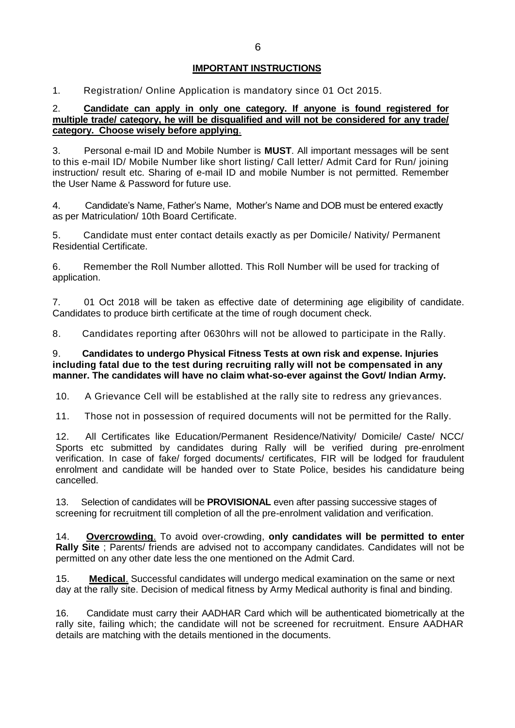### **IMPORTANT INSTRUCTIONS**

1. Registration/ Online Application is mandatory since 01 Oct 2015.

### 2. **Candidate can apply in only one category. If anyone is found registered for multiple trade/ category, he will be disqualified and will not be considered for any trade/ category. Choose wisely before applying**.

3. Personal e-mail ID and Mobile Number is **MUST**. All important messages will be sent to this e-mail ID/ Mobile Number like short listing/ Call letter/ Admit Card for Run/ joining instruction/ result etc. Sharing of e-mail ID and mobile Number is not permitted. Remember the User Name & Password for future use.

4. Candidate"s Name, Father"s Name, Mother"s Name and DOB must be entered exactly as per Matriculation/ 10th Board Certificate.

5. Candidate must enter contact details exactly as per Domicile/ Nativity/ Permanent Residential Certificate.

6. Remember the Roll Number allotted. This Roll Number will be used for tracking of application.

7. 01 Oct 2018 will be taken as effective date of determining age eligibility of candidate. Candidates to produce birth certificate at the time of rough document check.

8. Candidates reporting after 0630hrs will not be allowed to participate in the Rally.

#### 9. **Candidates to undergo Physical Fitness Tests at own risk and expense. Injuries including fatal due to the test during recruiting rally will not be compensated in any manner. The candidates will have no claim what-so-ever against the Govt/ Indian Army.**

10. A Grievance Cell will be established at the rally site to redress any grievances.

11. Those not in possession of required documents will not be permitted for the Rally.

12. All Certificates like Education/Permanent Residence/Nativity/ Domicile/ Caste/ NCC/ Sports etc submitted by candidates during Rally will be verified during pre-enrolment verification. In case of fake/ forged documents/ certificates, FIR will be lodged for fraudulent enrolment and candidate will be handed over to State Police, besides his candidature being cancelled.

13. Selection of candidates will be **PROVISIONAL** even after passing successive stages of screening for recruitment till completion of all the pre-enrolment validation and verification.

14. **Overcrowding**. To avoid over-crowding, **only candidates will be permitted to enter Rally Site** ; Parents/ friends are advised not to accompany candidates. Candidates will not be permitted on any other date less the one mentioned on the Admit Card.

15. **Medical**. Successful candidates will undergo medical examination on the same or next day at the rally site. Decision of medical fitness by Army Medical authority is final and binding.

16. Candidate must carry their AADHAR Card which will be authenticated biometrically at the rally site, failing which; the candidate will not be screened for recruitment. Ensure AADHAR details are matching with the details mentioned in the documents.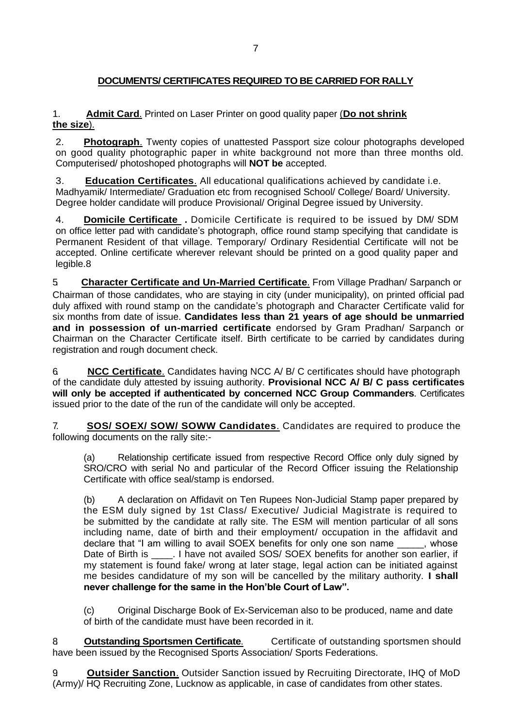## **DOCUMENTS/ CERTIFICATES REQUIRED TO BE CARRIED FOR RALLY**

### 1. **Admit Card**. Printed on Laser Printer on good quality paper (**Do not shrink the size**).

2. **Photograph**. Twenty copies of unattested Passport size colour photographs developed on good quality photographic paper in white background not more than three months old. Computerised/ photoshoped photographs will **NOT be** accepted.

3. **Education Certificates**. All educational qualifications achieved by candidate i.e. Madhyamik/ Intermediate/ Graduation etc from recognised School/ College/ Board/ University. Degree holder candidate will produce Provisional/ Original Degree issued by University.

4. **Domicile Certificate .** Domicile Certificate is required to be issued by DM/ SDM on office letter pad with candidate"s photograph, office round stamp specifying that candidate is Permanent Resident of that village. Temporary/ Ordinary Residential Certificate will not be accepted. Online certificate wherever relevant should be printed on a good quality paper and legible.8

5. **Character Certificate and Un-Married Certificate**. From Village Pradhan/ Sarpanch or Chairman of those candidates, who are staying in city (under municipality), on printed official pad duly affixed with round stamp on the candidate's photograph and Character Certificate valid for six months from date of issue. **Candidates less than 21 years of age should be unmarried and in possession of un-married certificate** endorsed by Gram Pradhan/ Sarpanch or Chairman on the Character Certificate itself. Birth certificate to be carried by candidates during registration and rough document check.

6. **NCC Certificate**. Candidates having NCC A/ B/ C certificates should have photograph of the candidate duly attested by issuing authority. **Provisional NCC A/ B/ C pass certificates will only be accepted if authenticated by concerned NCC Group Commanders**. Certificates issued prior to the date of the run of the candidate will only be accepted.

7. **SOS/ SOEX/ SOW/ SOWW Candidates**. Candidates are required to produce the following documents on the rally site:-

(a) Relationship certificate issued from respective Record Office only duly signed by SRO/CRO with serial No and particular of the Record Officer issuing the Relationship Certificate with office seal/stamp is endorsed.

(b) A declaration on Affidavit on Ten Rupees Non-Judicial Stamp paper prepared by the ESM duly signed by 1st Class/ Executive/ Judicial Magistrate is required to be submitted by the candidate at rally site. The ESM will mention particular of all sons including name, date of birth and their employment/ occupation in the affidavit and declare that "I am willing to avail SOEX benefits for only one son name , whose Date of Birth is [1] . I have not availed SOS/ SOEX benefits for another son earlier, if my statement is found fake/ wrong at later stage, legal action can be initiated against me besides candidature of my son will be cancelled by the military authority. **I shall never challenge for the same in the Hon'ble Court of Law".**

(c) Original Discharge Book of Ex-Serviceman also to be produced, name and date of birth of the candidate must have been recorded in it.

8. **Outstanding Sportsmen Certificate.** Certificate of outstanding sportsmen should have been issued by the Recognised Sports Association/ Sports Federations.

**Outsider Sanction.** Outsider Sanction issued by Recruiting Directorate, IHQ of MoD (Army)/ HQ Recruiting Zone, Lucknow as applicable, in case of candidates from other states.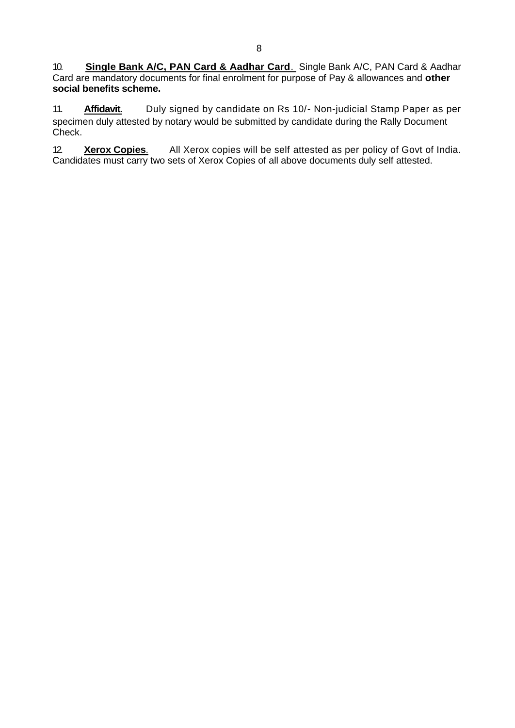10. **Single Bank A/C, PAN Card & Aadhar Card**. Single Bank A/C, PAN Card & Aadhar Card are mandatory documents for final enrolment for purpose of Pay & allowances and **other social benefits scheme.**

11. **Affidavit**. Duly signed by candidate on Rs 10/- Non-judicial Stamp Paper as per specimen duly attested by notary would be submitted by candidate during the Rally Document Check.

12. **Xerox Copies**. All Xerox copies will be self attested as per policy of Govt of India. Candidates must carry two sets of Xerox Copies of all above documents duly self attested.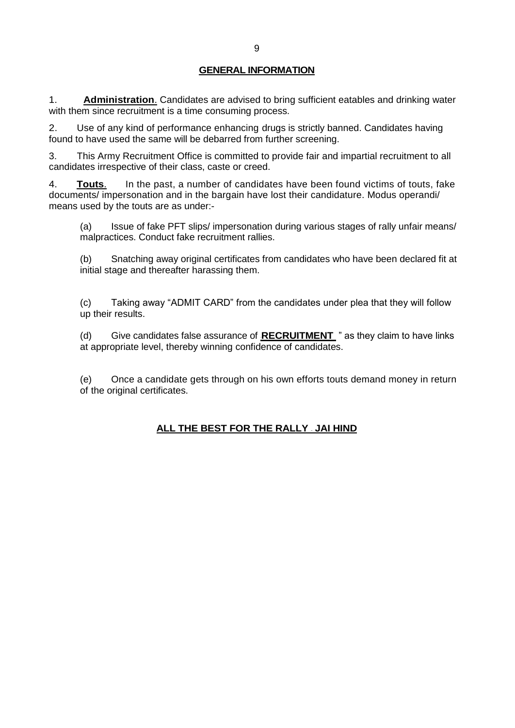### **GENERAL INFORMATION**

1. **Administration**. Candidates are advised to bring sufficient eatables and drinking water with them since recruitment is a time consuming process.

2. Use of any kind of performance enhancing drugs is strictly banned. Candidates having found to have used the same will be debarred from further screening.

3. This Army Recruitment Office is committed to provide fair and impartial recruitment to all candidates irrespective of their class, caste or creed.

4. **Touts**. In the past, a number of candidates have been found victims of touts, fake documents/ impersonation and in the bargain have lost their candidature. Modus operandi/ means used by the touts are as under:-

(a) Issue of fake PFT slips/ impersonation during various stages of rally unfair means/ malpractices. Conduct fake recruitment rallies.

(b) Snatching away original certificates from candidates who have been declared fit at initial stage and thereafter harassing them.

(c) Taking away "ADMIT CARD" from the candidates under plea that they will follow up their results.

(d) Give candidates false assurance of **RECRUITMENT** " as they claim to have links at appropriate level, thereby winning confidence of candidates.

(e) Once a candidate gets through on his own efforts touts demand money in return of the original certificates.

# **ALL THE BEST FOR THE RALLY – JAI HIND**